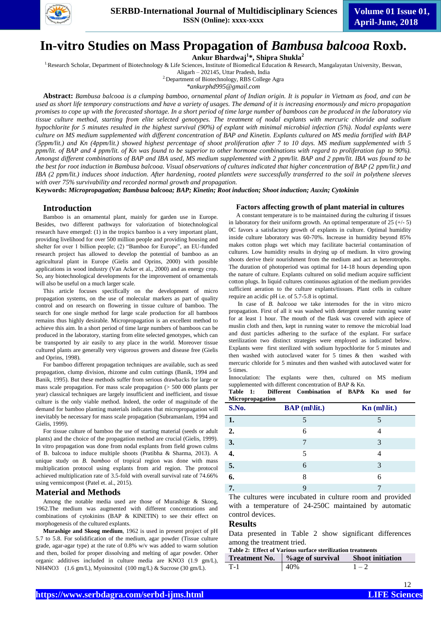

# **In-vitro Studies on Mass Propagation of** *Bambusa balcooa* **Roxb.**

**Ankur Bhardwaj<sup>1</sup> \*, Shipra Shukla<sup>2</sup>**

<sup>1.</sup>Research Scholar, Department of Biotechnology & Life Sciences, Institute of Biomedical Education & Research, Mangalayatan University, Beswan,

Aligarh – 202145, Uttar Pradesh, India <sup>2</sup> Department of Biotechnology, RBS College Agra

*\*ankurphd995@gmail.com*

**Abstract:** *Bambusa balcooa is a clumping bamboo, ornamental plant of Indian origin. It is popular in Vietnam as food, and can be used as short life temporary constructions and have a variety of usages. The demand of it is increasing enormously and micro propagation promises to cope up with the forecasted shortage. In a short period of time large number of bamboos can be produced in the laboratory via tissue culture method, starting from elite selected genotypes. The treatment of nodal explants with mercuric chloride and sodium hypochlorite for 5 minutes resulted in the highest survival (90%) of explant with minimal microbial infection (5%). Nodal explants were culture on MS medium supplemented with different concentration of BAP and Kinetin. Explants cultured on MS media fortified with BAP (5ppm/lit.) and Kn (4ppm/lit.) showed highest percentage of shoot proliferation after 7 to 10 days. MS medium supplemented with 5 ppm/lit. of BAP and 4 ppm/lit. of Kn was found to be superior to other hormone combinations with regard to proliferation (up to 90%). Amongst different combinations of BAP and IBA used, MS medium supplemented with 2 ppm/lit. BAP and 2 ppm/lit. IBA was found to be the best for root induction in Bambusa balcooa. Visual observations of cultures indicated that higher concentration of BAP (2 ppm/lit.) and IBA (2 ppm/lit.) induces shoot induction. After hardening, rooted plantlets were successfully transferred to the soil in polythene sleeves with over 75% survivability and recorded normal growth and propagation.*

**Keywords:** *Micropropagation; Bambusa balcooa; BAP; Kinetin; Root induction; Shoot induction; Auxin; Cytokinin*

#### **Introduction**

Bamboo is an ornamental plant, mainly for garden use in Europe. Besides, two different pathways for valorization of biotechnological research have emerged: (1) in the tropics bamboo is a very important plant, providing livelihood for over 500 million people and providing housing and shelter for over 1 billion people; (2) "Bamboo for Europe", an EU-funded research project has allowed to develop the potential of bamboo as an agricultural plant in Europe (Gielis and Oprins, 2000) with possible applications in wood industry (Van Acker et al., 2000) and as energy crop. So, any biotechnological developments for the improvement of ornamentals will also be useful on a much larger scale.

This article focuses specifically on the development of micro propagation systems, on the use of molecular markers as part of quality control and on research on flowering in tissue culture of bamboo. The search for one single method for large scale production for all bamboos remains thus highly desirable. Micropropagation is an excellent method to achieve this aim. In a short period of time large numbers of bamboos can be produced in the laboratory, starting from elite selected genotypes, which can be transported by air easily to any place in the world. Moreover tissue cultured plants are generally very vigorous growers and disease free (Gielis and Oprins, 1998).

For bamboo different propagation techniques are available, such as seed propagation, clump division, rhizome and culm cuttings (Banik, 1994 and Banik, 1995). But these methods suffer from serious drawbacks for large or mass scale propagation. For mass scale propagation (> 500 000 plants per year) classical techniques are largely insufficient and inefficient, and tissue culture is the only viable method. Indeed, the order of magnitude of the demand for bamboo planting materials indicates that micropropagation will inevitably be necessary for mass scale propagation (Subramanlam, 1994 and Gielis, 1999).

For tissue culture of bamboo the use of starting material (seeds or adult plants) and the choice of the propagation method are crucial (Gielis, 1999). In vitro propagation was done from nodal explants from field grown culms of B. balcooa to induce multiple shoots (Pratibha & Sharma, 2013). A unique study on *B. bamboo* of tropical region was done with mass multiplication protocol using explants from arid region. The protocol achieved multiplication rate of 3.5-fold with overall survival rate of 74.66% using vermicompost (Patel et. al., 2015).

#### **Material and Methods**

Among the notable media used are those of Murashige & Skoog, 1962.The medium was augmented with different concentrations and combinations of cytokinins (BAP & KINETIN) to see their effect on morphogenesis of the cultured explants.

**Murashige and Skoog medium**, 1962 is used in present project of pH 5.7 to 5.8. For solidification of the medium, agar powder (Tissue culture grade, agar-agar type) at the rate of 0.8% w/v was added to warm solution and then, boiled for proper dissolving and melting of agar powder. Other organic additives included in culture media are KNO3 (1.9 gm/L), NH4NO3 (1.6 gm/L), Myoinositol (100 mg/L) & Sucrose (30 gm/L).

#### **Factors affecting growth of plant material in cultures**

A constant temperature is to be maintained during the culturing if tissues in laboratory for their uniform growth. An optimal temperature of  $25 (+/- 5)$ 0C favors a satisfactory growth of explants in culture. Optimal humidity inside culture laboratory was 60-70%. Increase in humidity beyond 85% makes cotton plugs wet which may facilitate bacterial contamination of cultures. Low humidity results in drying up of medium. In vitro growing shoots derive their nourishment from the medium and act as heterotrophs. The duration of photoperiod was optimal for 14-18 hours depending upon the nature of culture. Explants cultured on solid medium acquire sufficient cotton plugs. In liquid cultures continuous agitation of the medium provides sufficient aeration to the culture explants/tissues. Plant cells in culture require an acidic pH i.e. of 5.7-5.8 is optimal.

In case of *B. balcooa* we take internodes for the in vitro micro propagation. First of all it was washed with detergent under running water for at least 1 hour. The mouth of the flask was covered with apiece of muslin cloth and then, kept in running water to remove the microbial load and dust particles adhering to the surface of the explant. For surface sterilization two distinct strategies were employed as indicated below. Explants were first sterilized with sodium hypochlorite for 5 minutes and then washed with autoclaved water for 5 times & then washed with mercuric chloride for 5 minutes and then washed with autoclaved water for 5 times.

Innoculation: The explants were then, cultured on MS medium supplemented with different concentration of BAP & Kn.

**Table 1: Different Combination of BAP& Kn used for Micropropagation**

| S.No. | <b>BAP</b> (ml\lit.) | $Kn$ (ml\lit.) |
|-------|----------------------|----------------|
| 1.    |                      |                |
| 2.    | 6                    |                |
| 3.    |                      | 3              |
| 4.    | 5                    |                |
| 5.    | 6                    | 3              |
| 6.    | 8                    | 6              |
| 7.    | q                    |                |

The cultures were incubated in culture room and provided with a temperature of 24-250C maintained by automatic control devices.

#### **Results**

Data presented in Table 2 show significant differences among the treatment tried.

**Table 2: Effect of Various surface sterilization treatments**

| <b>Treatment No.</b> | <i>b</i> <sub>age</sub> of survival | <b>Shoot initiation</b> |
|----------------------|-------------------------------------|-------------------------|
| - T-1                | 40%                                 |                         |

12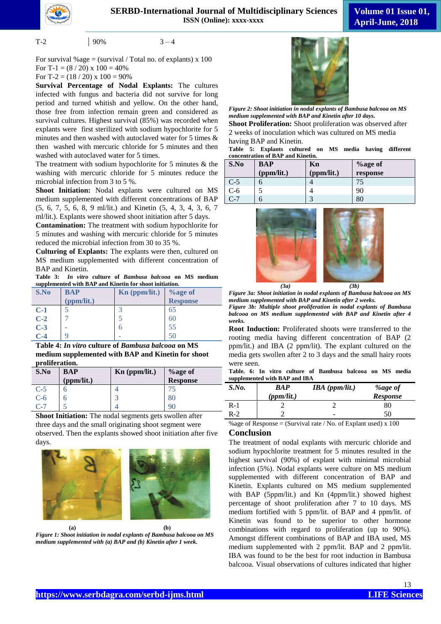

$$
T-2 \qquad \qquad \boxed{90\%} \qquad \qquad 3-4
$$

For survival %age = (survival / Total no. of explants)  $x$  100 For T-1 =  $(8/20)$  x  $100 = 40\%$ For T-2 =  $(18/20)$  x  $100 = 90\%$ 

**Survival Percentage of Nodal Explants:** The cultures infected with fungus and bacteria did not survive for long period and turned whitish and yellow. On the other hand, those free from infection remain green and considered as survival cultures. Highest survival (85%) was recorded when explants were first sterilized with sodium hypochlorite for 5 minutes and then washed with autoclaved water for 5 times & then washed with mercuric chloride for 5 minutes and then washed with autoclaved water for 5 times.

The treatment with sodium hypochlorite for 5 minutes & the washing with mercuric chloride for 5 minutes reduce the microbial infection from 3 to 5 %.

**Shoot Initiation:** Nodal explants were cultured on MS medium supplemented with different concentrations of BAP (5, 6, 7, 5, 6, 8, 9 ml/lit.) and Kinetin (5, 4, 3, 4, 3, 6, 7 ml/lit.). Explants were showed shoot initiation after 5 days.

**Contamination:** The treatment with sodium hypochlorite for 5 minutes and washing with mercuric chloride for 5 minutes reduced the microbial infection from 30 to 35 %.

**Culturing of Explants:** The explants were then, cultured on MS medium supplemented with different concentration of BAP and Kinetin.

**Table 3:** *In vitro* **culture of** *Bambusa balcooa* **on MS medium supplemented with BAP and Kinetin for shoot initiation.**

| S.No  | <b>BAP</b> | Kn (ppm/lit.) | <b>%</b> age of |
|-------|------------|---------------|-----------------|
|       | (ppm/lit.) |               | <b>Response</b> |
| $C-1$ |            | ₽             | 65              |
| $C-2$ |            | 5             | 60              |
| $C-3$ |            | b             | 55              |
| $C-4$ |            |               |                 |

**Table 4:** *In vitro* **culture of** *Bambusa balcooa* **on MS medium supplemented with BAP and Kinetin for shoot proliferation.**

| S.No  | <b>BAP</b><br>(ppm/lit.) | Kn (ppm/lit.) | <b>%age of</b><br>Response |
|-------|--------------------------|---------------|----------------------------|
| $C-5$ |                          |               | 75                         |
| $C-6$ |                          |               | 80                         |
| $C-7$ |                          |               |                            |

**Shoot Initiation:** The nodal segments gets swollen after three days and the small originating shoot segment were observed. Then the explants showed shoot initiation after five days.



**(a) (b)** *Figure 1: Shoot initiation in nodal explants of Bambusa balcooa on MS medium supplemented with (a) BAP and (b) Kinetin after 1 week.* 



*Figure 2: Shoot initiation in nodal explants of Bambusa balcooa on MS medium supplemented with BAP and Kinetin after 10 days.* **Shoot Proliferation:** Shoot proliferation was observed after 2 weeks of inoculation which was cultured on MS media having BAP and Kinetin.

**Table 5: Explants cultured on MS media having different concentration of BAP and Kinetin.**

| S.No  | <b>BAP</b> | Kn         | $%$ age of |
|-------|------------|------------|------------|
|       | (ppm/lit.) | (ppm/lit.) | response   |
| $C-5$ | n          |            |            |
| $C-6$ |            |            | 90         |
| $C-7$ | ჩ          |            | 80         |



*Figure 3a: Shoot initiation in nodal explants of Bambusa balcooa on MS medium supplemented with BAP and Kinetin after 2 weeks.*

*Figure 3b: Multiple shoot proliferation in nodal explants of Bambusa balcooa on MS medium supplemented with BAP and Kinetin after 4 weeks.*

**Root Induction:** Proliferated shoots were transferred to the rooting media having different concentration of BAP (2 ppm/lit.) and IBA (2 ppm/lit). The explant cultured on the media gets swollen after 2 to 3 days and the small hairy roots were seen.

|  |  |                               | Table. 6: In vitro culture of Bambusa balcooa on MS media |  |  |
|--|--|-------------------------------|-----------------------------------------------------------|--|--|
|  |  | supplemented with BAP and IBA |                                                           |  |  |

| S.No. | <b>BAP</b><br>(ppm/lit.) | $IBA$ (ppm/lit.) | <i>%age of</i><br><b>Response</b> |
|-------|--------------------------|------------------|-----------------------------------|
| $R-1$ |                          |                  | 80                                |
| $R-2$ |                          | -                | 50                                |

%age of Response = (Survival rate / No. of Explant used)  $x$  100

### **Conclusion**

The treatment of nodal explants with mercuric chloride and sodium hypochlorite treatment for 5 minutes resulted in the highest survival (90%) of explant with minimal microbial infection (5%). Nodal explants were culture on MS medium supplemented with different concentration of BAP and Kinetin. Explants cultured on MS medium supplemented with BAP (5ppm/lit.) and Kn (4ppm/lit.) showed highest percentage of shoot proliferation after 7 to 10 days. MS medium fortified with 5 ppm/lit. of BAP and 4 ppm/lit. of Kinetin was found to be superior to other hormone combinations with regard to proliferation (up to 90%). Amongst different combinations of BAP and IBA used, MS medium supplemented with 2 ppm/lit. BAP and 2 ppm/lit. IBA was found to be the best for root induction in Bambusa balcooa. Visual observations of cultures indicated that higher

13